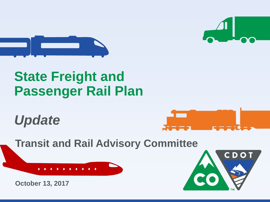



# **State Freight and Passenger Rail Plan**

*Update*



**Transit and Rail Advisory Committee**



**October 13, 2017**

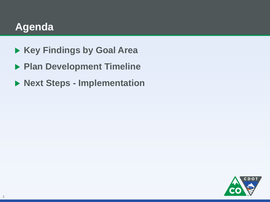## **Agenda**

- **Key Findings by Goal Area**
- **Plan Development Timeline**
- **Next Steps - Implementation**

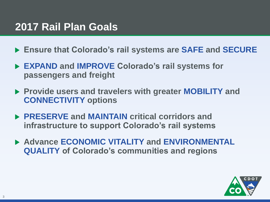### **2017 Rail Plan Goals**

- **Ensure that Colorado's rail systems are SAFE and SECURE**
- **EXPAND and IMPROVE Colorado's rail systems for passengers and freight**
- **Provide users and travelers with greater MOBILITY and CONNECTIVITY options**
- **PRESERVE and MAINTAIN critical corridors and infrastructure to support Colorado's rail systems**
- **Advance ECONOMIC VITALITY and ENVIRONMENTAL QUALITY of Colorado's communities and regions**

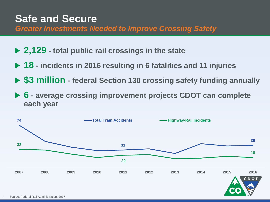### **Safe and Secure**

*Greater Investments Needed to Improve Crossing Safety*

- **2,129 - total public rail crossings in the state**
- **18 - incidents in 2016 resulting in 6 fatalities and 11 injuries**
- **\$3 million - federal Section 130 crossing safety funding annually**
- **6 - average crossing improvement projects CDOT can complete each year**

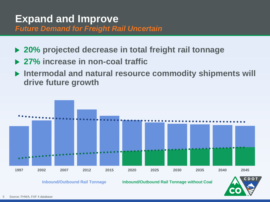#### **Expand and Improve** *Future Demand for Freight Rail Uncertain*

- **20% projected decrease in total freight rail tonnage**
- **27% increase in non-coal traffic**
- **Intermodal and natural resource commodity shipments will drive future growth**



**Inbound/Outbound Rail Tonnage Inbound/Outbound Rail Tonnage without Coal**

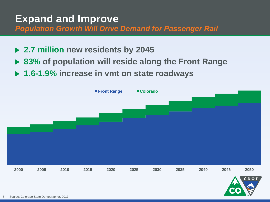## **Expand and Improve**

*Population Growth Will Drive Demand for Passenger Rail*

- **2.7 million new residents by 2045**
- **83% of population will reside along the Front Range**
- **1.6-1.9% increase in vmt on state roadways**

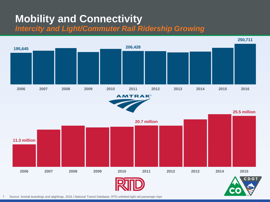### **Mobility and Connectivity** *Intercity and Light/Commuter Rail Ridership Growing*



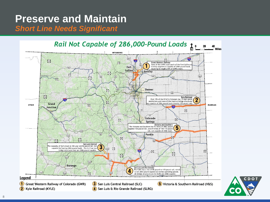# **Preserve and Maintain**

*Short Line Needs Significant*

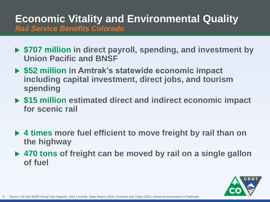### **Economic Vitality and Environmental Quality** *Rail Service Benefits Colorado*

- **\$707 million in direct payroll, spending, and investment by Union Pacific and BNSF**
- **\$52 million in Amtrak's statewide economic impact including capital investment, direct jobs, and tourism spending**
- **\$15 million estimated direct and indirect economic impact for scenic rail**
- **4 times more fuel efficient to move freight by rail than on the highway**
- **470 tons of freight can be moved by rail on a single gallon of fuel**

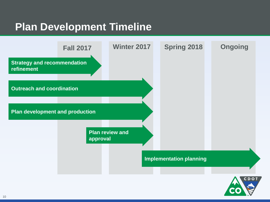### **Plan Development Timeline**

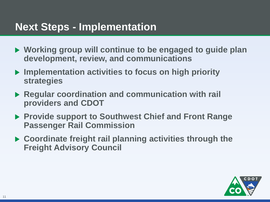### **Next Steps - Implementation**

- **Working group will continue to be engaged to guide plan development, review, and communications**
- **Implementation activities to focus on high priority strategies**
- **Regular coordination and communication with rail providers and CDOT**
- **Provide support to Southwest Chief and Front Range Passenger Rail Commission**
- **Coordinate freight rail planning activities through the Freight Advisory Council**